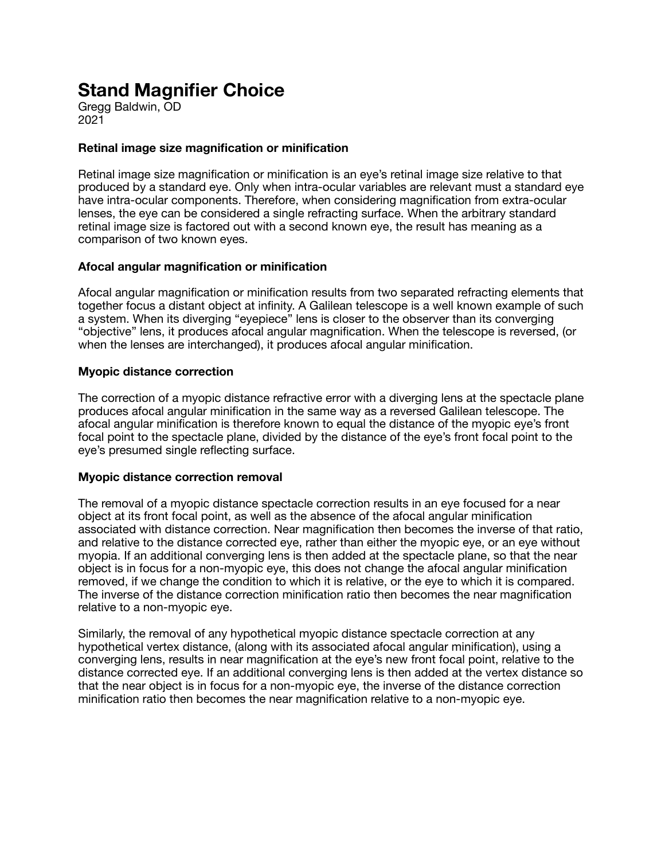# **Stand Magnifier Choice**

Gregg Baldwin, OD 2021

## **Retinal image size magnification or minification**

Retinal image size magnification or minification is an eye's retinal image size relative to that produced by a standard eye. Only when intra-ocular variables are relevant must a standard eye have intra-ocular components. Therefore, when considering magnification from extra-ocular lenses, the eye can be considered a single refracting surface. When the arbitrary standard retinal image size is factored out with a second known eye, the result has meaning as a comparison of two known eyes.

## **Afocal angular magnification or minification**

Afocal angular magnification or minification results from two separated refracting elements that together focus a distant object at infinity. A Galilean telescope is a well known example of such a system. When its diverging "eyepiece" lens is closer to the observer than its converging "objective" lens, it produces afocal angular magnification. When the telescope is reversed, (or when the lenses are interchanged), it produces afocal angular minification.

#### **Myopic distance correction**

The correction of a myopic distance refractive error with a diverging lens at the spectacle plane produces afocal angular minification in the same way as a reversed Galilean telescope. The afocal angular minification is therefore known to equal the distance of the myopic eye's front focal point to the spectacle plane, divided by the distance of the eye's front focal point to the eye's presumed single reflecting surface.

#### **Myopic distance correction removal**

The removal of a myopic distance spectacle correction results in an eye focused for a near object at its front focal point, as well as the absence of the afocal angular minification associated with distance correction. Near magnification then becomes the inverse of that ratio, and relative to the distance corrected eye, rather than either the myopic eye, or an eye without myopia. If an additional converging lens is then added at the spectacle plane, so that the near object is in focus for a non-myopic eye, this does not change the afocal angular minification removed, if we change the condition to which it is relative, or the eye to which it is compared. The inverse of the distance correction minification ratio then becomes the near magnification relative to a non-myopic eye.

Similarly, the removal of any hypothetical myopic distance spectacle correction at any hypothetical vertex distance, (along with its associated afocal angular minification), using a converging lens, results in near magnification at the eye's new front focal point, relative to the distance corrected eye. If an additional converging lens is then added at the vertex distance so that the near object is in focus for a non-myopic eye, the inverse of the distance correction minification ratio then becomes the near magnification relative to a non-myopic eye.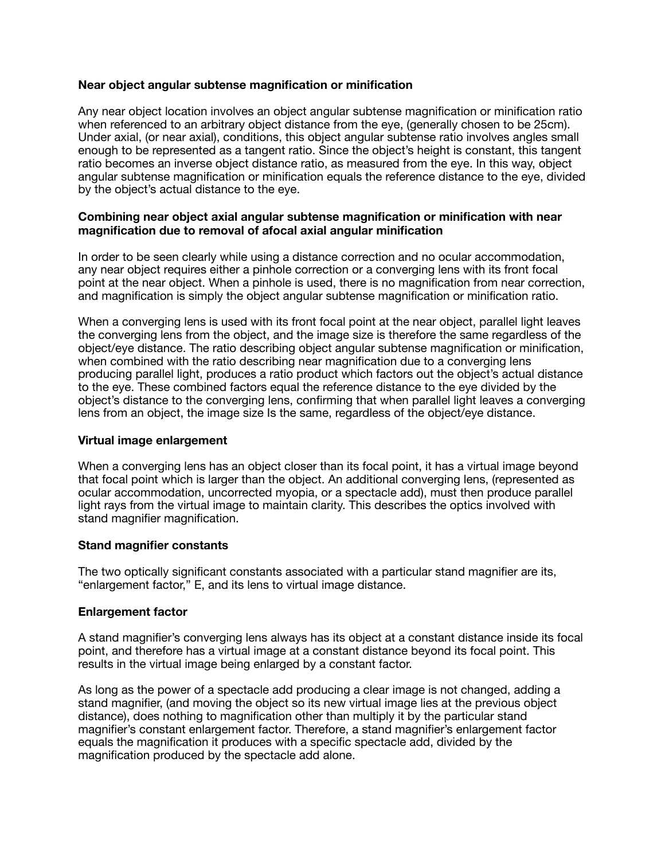#### **Near object angular subtense magnification or minification**

Any near object location involves an object angular subtense magnification or minification ratio when referenced to an arbitrary object distance from the eye, (generally chosen to be 25cm). Under axial, (or near axial), conditions, this object angular subtense ratio involves angles small enough to be represented as a tangent ratio. Since the object's height is constant, this tangent ratio becomes an inverse object distance ratio, as measured from the eye. In this way, object angular subtense magnification or minification equals the reference distance to the eye, divided by the object's actual distance to the eye.

#### **Combining near object axial angular subtense magnification or minification with near magnification due to removal of afocal axial angular minification**

In order to be seen clearly while using a distance correction and no ocular accommodation, any near object requires either a pinhole correction or a converging lens with its front focal point at the near object. When a pinhole is used, there is no magnification from near correction, and magnification is simply the object angular subtense magnification or minification ratio.

When a converging lens is used with its front focal point at the near object, parallel light leaves the converging lens from the object, and the image size is therefore the same regardless of the object/eye distance. The ratio describing object angular subtense magnification or minification, when combined with the ratio describing near magnification due to a converging lens producing parallel light, produces a ratio product which factors out the object's actual distance to the eye. These combined factors equal the reference distance to the eye divided by the object's distance to the converging lens, confirming that when parallel light leaves a converging lens from an object, the image size Is the same, regardless of the object/eye distance.

#### **Virtual image enlargement**

When a converging lens has an object closer than its focal point, it has a virtual image beyond that focal point which is larger than the object. An additional converging lens, (represented as ocular accommodation, uncorrected myopia, or a spectacle add), must then produce parallel light rays from the virtual image to maintain clarity. This describes the optics involved with stand magnifier magnification.

#### **Stand magnifier constants**

The two optically significant constants associated with a particular stand magnifier are its, "enlargement factor," E, and its lens to virtual image distance.

#### **Enlargement factor**

A stand magnifier's converging lens always has its object at a constant distance inside its focal point, and therefore has a virtual image at a constant distance beyond its focal point. This results in the virtual image being enlarged by a constant factor.

As long as the power of a spectacle add producing a clear image is not changed, adding a stand magnifier, (and moving the object so its new virtual image lies at the previous object distance), does nothing to magnification other than multiply it by the particular stand magnifier's constant enlargement factor. Therefore, a stand magnifier's enlargement factor equals the magnification it produces with a specific spectacle add, divided by the magnification produced by the spectacle add alone.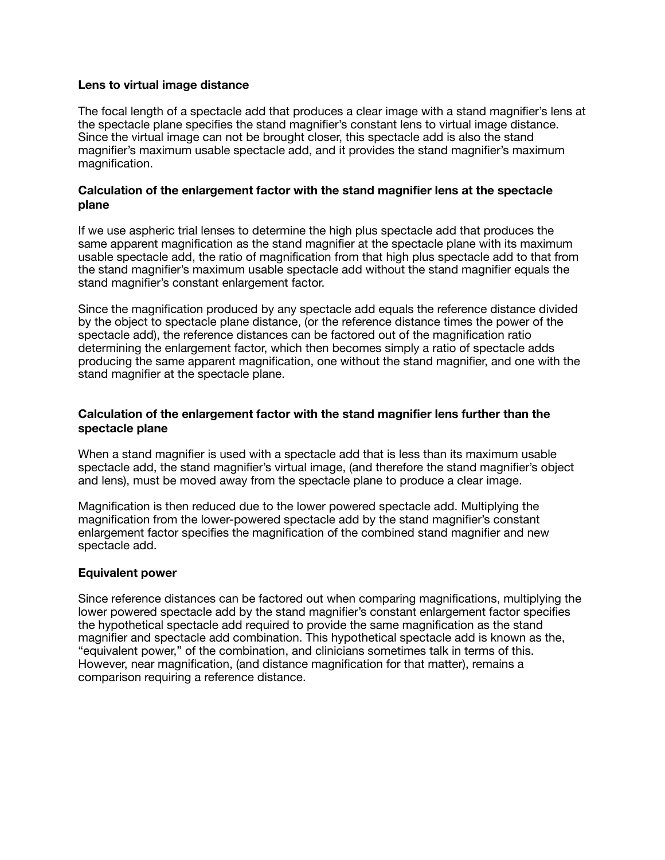#### **Lens to virtual image distance**

The focal length of a spectacle add that produces a clear image with a stand magnifier's lens at the spectacle plane specifies the stand magnifier's constant lens to virtual image distance. Since the virtual image can not be brought closer, this spectacle add is also the stand magnifier's maximum usable spectacle add, and it provides the stand magnifier's maximum magnification.

#### **Calculation of the enlargement factor with the stand magnifier lens at the spectacle plane**

If we use aspheric trial lenses to determine the high plus spectacle add that produces the same apparent magnification as the stand magnifier at the spectacle plane with its maximum usable spectacle add, the ratio of magnification from that high plus spectacle add to that from the stand magnifier's maximum usable spectacle add without the stand magnifier equals the stand magnifier's constant enlargement factor.

Since the magnification produced by any spectacle add equals the reference distance divided by the object to spectacle plane distance, (or the reference distance times the power of the spectacle add), the reference distances can be factored out of the magnification ratio determining the enlargement factor, which then becomes simply a ratio of spectacle adds producing the same apparent magnification, one without the stand magnifier, and one with the stand magnifier at the spectacle plane.

#### **Calculation of the enlargement factor with the stand magnifier lens further than the spectacle plane**

When a stand magnifier is used with a spectacle add that is less than its maximum usable spectacle add, the stand magnifier's virtual image, (and therefore the stand magnifier's object and lens), must be moved away from the spectacle plane to produce a clear image.

Magnification is then reduced due to the lower powered spectacle add. Multiplying the magnification from the lower-powered spectacle add by the stand magnifier's constant enlargement factor specifies the magnification of the combined stand magnifier and new spectacle add.

#### **Equivalent power**

Since reference distances can be factored out when comparing magnifications, multiplying the lower powered spectacle add by the stand magnifier's constant enlargement factor specifies the hypothetical spectacle add required to provide the same magnification as the stand magnifier and spectacle add combination. This hypothetical spectacle add is known as the, "equivalent power," of the combination, and clinicians sometimes talk in terms of this. However, near magnification, (and distance magnification for that matter), remains a comparison requiring a reference distance.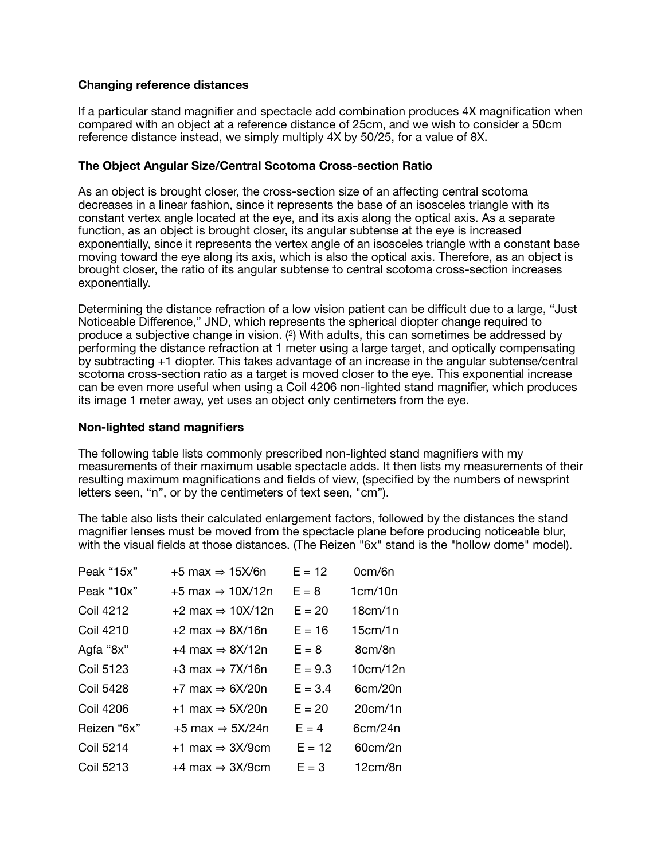## **Changing reference distances**

If a particular stand magnifier and spectacle add combination produces 4X magnification when compared with an object at a reference distance of 25cm, and we wish to consider a 50cm reference distance instead, we simply multiply 4X by 50/25, for a value of 8X.

## **The Object Angular Size/Central Scotoma Cross-section Ratio**

As an object is brought closer, the cross-section size of an affecting central scotoma decreases in a linear fashion, since it represents the base of an isosceles triangle with its constant vertex angle located at the eye, and its axis along the optical axis. As a separate function, as an object is brought closer, its angular subtense at the eye is increased exponentially, since it represents the vertex angle of an isosceles triangle with a constant base moving toward the eye along its axis, which is also the optical axis. Therefore, as an object is brought closer, the ratio of its angular subtense to central scotoma cross-section increases exponentially.

Determining the distance refraction of a low vision patient can be difficult due to a large, "Just Noticeable Difference," JND, which represents the spherical diopter change required to produce a subjective change in vision. (2) With adults, this can sometimes be addressed by performing the distance refraction at 1 meter using a large target, and optically compensating by subtracting +1 diopter. This takes advantage of an increase in the angular subtense/central scotoma cross-section ratio as a target is moved closer to the eye. This exponential increase can be even more useful when using a Coil 4206 non-lighted stand magnifier, which produces its image 1 meter away, yet uses an object only centimeters from the eye.

#### **Non-lighted stand magnifiers**

The following table lists commonly prescribed non-lighted stand magnifiers with my measurements of their maximum usable spectacle adds. It then lists my measurements of their resulting maximum magnifications and fields of view, (specified by the numbers of newsprint letters seen, "n", or by the centimeters of text seen, "cm").

The table also lists their calculated enlargement factors, followed by the distances the stand magnifier lenses must be moved from the spectacle plane before producing noticeable blur, with the visual fields at those distances. (The Reizen "6x" stand is the "hollow dome" model).

| Peak "15x"       | $+5$ max $\Rightarrow$ 15X/6n  | $E = 12$  | 0cm/6n   |
|------------------|--------------------------------|-----------|----------|
| Peak "10x"       | $+5$ max $\Rightarrow$ 10X/12n | $E = 8$   | 1cm/10n  |
| Coil 4212        | $+2$ max $\Rightarrow$ 10X/12n | $E = 20$  | 18cm/1n  |
| Coil 4210        | $+2$ max $\Rightarrow$ 8X/16n  | $E = 16$  | 15cm/1n  |
| Agfa "8x"        | $+4$ max $\Rightarrow$ 8X/12n  | $E = 8$   | 8cm/8n   |
| <b>Coil 5123</b> | $+3$ max $\Rightarrow$ 7X/16n  | $E = 9.3$ | 10cm/12n |
| <b>Coil 5428</b> | $+7$ max $\Rightarrow$ 6X/20n  | $E = 3.4$ | 6cm/20n  |
| <b>Coil 4206</b> | $+1$ max $\Rightarrow$ 5X/20n  | $E = 20$  | 20cm/1n  |
| Reizen "6x"      | $+5$ max $\Rightarrow$ 5X/24n  | $E = 4$   | 6cm/24n  |
| <b>Coil 5214</b> | $+1$ max $\Rightarrow$ 3X/9cm  | $E = 12$  | 60cm/2n  |
| <b>Coil 5213</b> | $+4$ max $\Rightarrow$ 3X/9cm  | $E = 3$   | 12cm/8n  |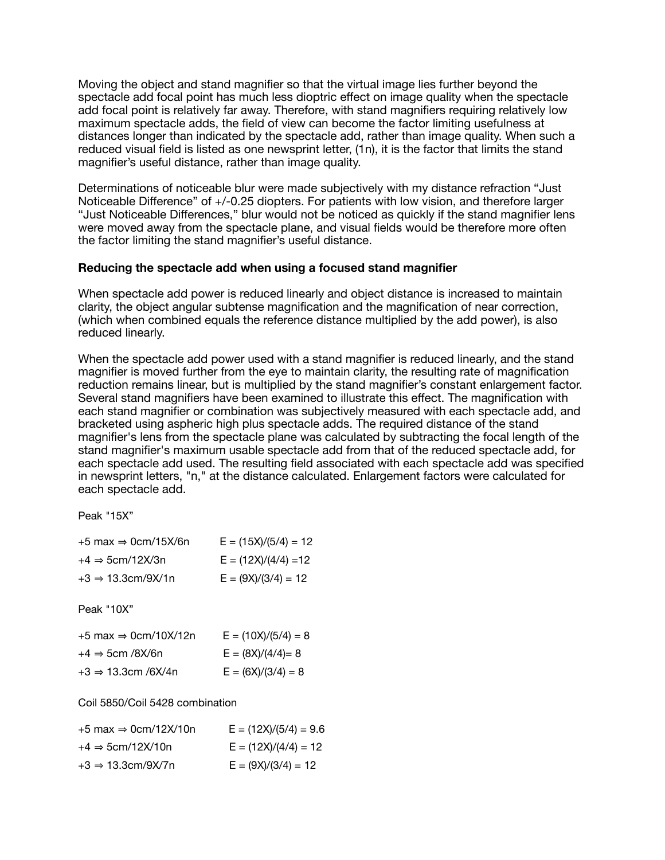Moving the object and stand magnifier so that the virtual image lies further beyond the spectacle add focal point has much less dioptric effect on image quality when the spectacle add focal point is relatively far away. Therefore, with stand magnifiers requiring relatively low maximum spectacle adds, the field of view can become the factor limiting usefulness at distances longer than indicated by the spectacle add, rather than image quality. When such a reduced visual field is listed as one newsprint letter, (1n), it is the factor that limits the stand magnifier's useful distance, rather than image quality.

Determinations of noticeable blur were made subjectively with my distance refraction "Just Noticeable Difference" of +/-0.25 diopters. For patients with low vision, and therefore larger "Just Noticeable Differences," blur would not be noticed as quickly if the stand magnifier lens were moved away from the spectacle plane, and visual fields would be therefore more often the factor limiting the stand magnifier's useful distance.

## **Reducing the spectacle add when using a focused stand magnifier**

When spectacle add power is reduced linearly and object distance is increased to maintain clarity, the object angular subtense magnification and the magnification of near correction, (which when combined equals the reference distance multiplied by the add power), is also reduced linearly.

When the spectacle add power used with a stand magnifier is reduced linearly, and the stand magnifier is moved further from the eye to maintain clarity, the resulting rate of magnification reduction remains linear, but is multiplied by the stand magnifier's constant enlargement factor. Several stand magnifiers have been examined to illustrate this effect. The magnification with each stand magnifier or combination was subjectively measured with each spectacle add, and bracketed using aspheric high plus spectacle adds. The required distance of the stand magnifier's lens from the spectacle plane was calculated by subtracting the focal length of the stand magnifier's maximum usable spectacle add from that of the reduced spectacle add, for each spectacle add used. The resulting field associated with each spectacle add was specified in newsprint letters, "n," at the distance calculated. Enlargement factors were calculated for each spectacle add.

Peak "15X"

| $+5$ max $\Rightarrow$ 0cm/15X/6n | $E = (15X)/(5/4) = 12$ |
|-----------------------------------|------------------------|
| $+4 \Rightarrow 5$ cm/12X/3n      | $E = (12X)/(4/4) = 12$ |
| $+3 \Rightarrow 13.3$ cm/9X/1n    | $E = (9X)/(3/4) = 12$  |

Peak "10X"

| $+5$ max $\Rightarrow$ 0cm/10X/12n | $E = (10X)/(5/4) = 8$ |
|------------------------------------|-----------------------|
| $+4 \Rightarrow$ 5cm /8X/6n        | $E = (8X)/(4/4) = 8$  |
| $+3 \Rightarrow 13.3$ cm /6X/4n    | $E = (6X)/(3/4) = 8$  |

Coil 5850/Coil 5428 combination

| $+5$ max $\Rightarrow$ 0cm/12X/10n | $E = (12X)/(5/4) = 9.6$ |
|------------------------------------|-------------------------|
| $+4 \Rightarrow$ 5cm/12X/10n       | $E = (12X)/(4/4) = 12$  |
| $+3 \Rightarrow 13.3$ cm/9X/7n     | $E = (9X)/(3/4) = 12$   |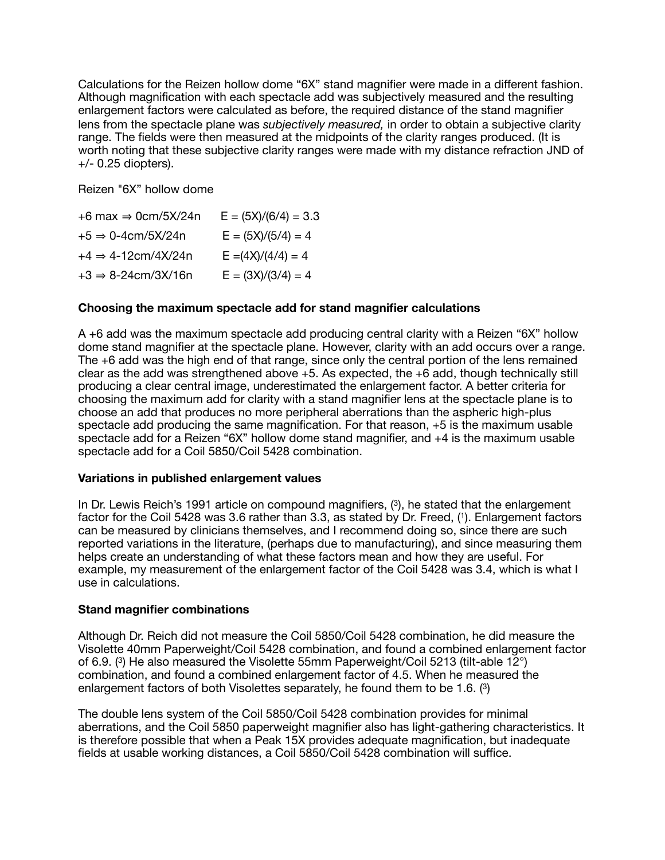Calculations for the Reizen hollow dome "6X" stand magnifier were made in a different fashion. Although magnification with each spectacle add was subjectively measured and the resulting enlargement factors were calculated as before, the required distance of the stand magnifier lens from the spectacle plane was *subjectively measured,* in order to obtain a subjective clarity range. The fields were then measured at the midpoints of the clarity ranges produced. (It is worth noting that these subjective clarity ranges were made with my distance refraction JND of +/- 0.25 diopters).

Reizen "6X" hollow dome

| $+6$ max $\Rightarrow$ 0cm/5X/24n | $E = (5X)/(6/4) = 3.3$ |
|-----------------------------------|------------------------|
| $+5 \Rightarrow 0-4$ cm/5X/24n    | $E = (5X)/(5/4) = 4$   |
| $+4 \Rightarrow 4 - 12$ cm/4X/24n | $E = (4X)/(4/4) = 4$   |
| $+3 \Rightarrow 8 - 24$ cm/3X/16n | $E = (3X)/(3/4) = 4$   |

## **Choosing the maximum spectacle add for stand magnifier calculations**

A +6 add was the maximum spectacle add producing central clarity with a Reizen "6X" hollow dome stand magnifier at the spectacle plane. However, clarity with an add occurs over a range. The +6 add was the high end of that range, since only the central portion of the lens remained clear as the add was strengthened above +5. As expected, the +6 add, though technically still producing a clear central image, underestimated the enlargement factor. A better criteria for choosing the maximum add for clarity with a stand magnifier lens at the spectacle plane is to choose an add that produces no more peripheral aberrations than the aspheric high-plus spectacle add producing the same magnification. For that reason, +5 is the maximum usable spectacle add for a Reizen "6X" hollow dome stand magnifier, and +4 is the maximum usable spectacle add for a Coil 5850/Coil 5428 combination.

#### **Variations in published enlargement values**

In Dr. Lewis Reich's 1991 article on compound magnifiers,  $(3)$ , he stated that the enlargement factor for the Coil 5428 was 3.6 rather than 3.3, as stated by Dr. Freed, (1). Enlargement factors can be measured by clinicians themselves, and I recommend doing so, since there are such reported variations in the literature, (perhaps due to manufacturing), and since measuring them helps create an understanding of what these factors mean and how they are useful. For example, my measurement of the enlargement factor of the Coil 5428 was 3.4, which is what I use in calculations.

#### **Stand magnifier combinations**

Although Dr. Reich did not measure the Coil 5850/Coil 5428 combination, he did measure the Visolette 40mm Paperweight/Coil 5428 combination, and found a combined enlargement factor of 6.9. (3) He also measured the Visolette 55mm Paperweight/Coil 5213 (tilt-able 12°) combination, and found a combined enlargement factor of 4.5. When he measured the enlargement factors of both Visolettes separately, he found them to be 1.6. (3)

The double lens system of the Coil 5850/Coil 5428 combination provides for minimal aberrations, and the Coil 5850 paperweight magnifier also has light-gathering characteristics. It is therefore possible that when a Peak 15X provides adequate magnification, but inadequate fields at usable working distances, a Coil 5850/Coil 5428 combination will suffice.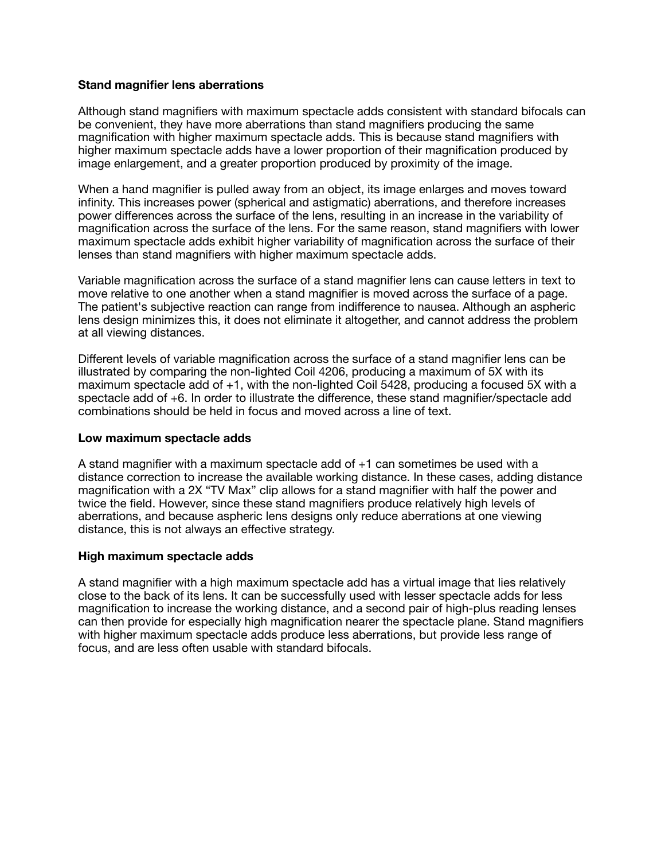#### **Stand magnifier lens aberrations**

Although stand magnifiers with maximum spectacle adds consistent with standard bifocals can be convenient, they have more aberrations than stand magnifiers producing the same magnification with higher maximum spectacle adds. This is because stand magnifiers with higher maximum spectacle adds have a lower proportion of their magnification produced by image enlargement, and a greater proportion produced by proximity of the image.

When a hand magnifier is pulled away from an object, its image enlarges and moves toward infinity. This increases power (spherical and astigmatic) aberrations, and therefore increases power differences across the surface of the lens, resulting in an increase in the variability of magnification across the surface of the lens. For the same reason, stand magnifiers with lower maximum spectacle adds exhibit higher variability of magnification across the surface of their lenses than stand magnifiers with higher maximum spectacle adds.

Variable magnification across the surface of a stand magnifier lens can cause letters in text to move relative to one another when a stand magnifier is moved across the surface of a page. The patient's subjective reaction can range from indifference to nausea. Although an aspheric lens design minimizes this, it does not eliminate it altogether, and cannot address the problem at all viewing distances.

Different levels of variable magnification across the surface of a stand magnifier lens can be illustrated by comparing the non-lighted Coil 4206, producing a maximum of 5X with its maximum spectacle add of +1, with the non-lighted Coil 5428, producing a focused 5X with a spectacle add of +6. In order to illustrate the difference, these stand magnifier/spectacle add combinations should be held in focus and moved across a line of text.

#### **Low maximum spectacle adds**

A stand magnifier with a maximum spectacle add of +1 can sometimes be used with a distance correction to increase the available working distance. In these cases, adding distance magnification with a 2X "TV Max" clip allows for a stand magnifier with half the power and twice the field. However, since these stand magnifiers produce relatively high levels of aberrations, and because aspheric lens designs only reduce aberrations at one viewing distance, this is not always an effective strategy.

#### **High maximum spectacle adds**

A stand magnifier with a high maximum spectacle add has a virtual image that lies relatively close to the back of its lens. It can be successfully used with lesser spectacle adds for less magnification to increase the working distance, and a second pair of high-plus reading lenses can then provide for especially high magnification nearer the spectacle plane. Stand magnifiers with higher maximum spectacle adds produce less aberrations, but provide less range of focus, and are less often usable with standard bifocals.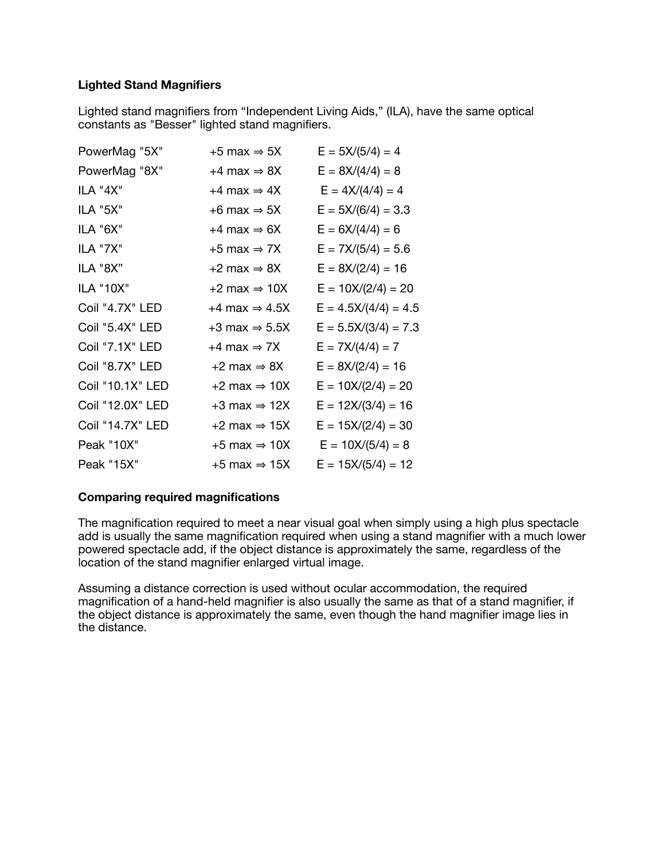## **Lighted Stand Magnifiers**

Lighted stand magnifiers from "Independent Living Aids," (ILA), have the same optical constants as "Besser" lighted stand magnifiers.

| PowerMag "5X"    | $+5$ max $\Rightarrow$ 5X   | $E = 5X/(5/4) = 4$     |
|------------------|-----------------------------|------------------------|
| PowerMag "8X"    | $+4$ max $\Rightarrow$ 8X   | $E = 8X/(4/4) = 8$     |
| ILA "4X"         | $+4$ max $\Rightarrow$ 4X   | $E = 4X/(4/4) = 4$     |
| ILA "5X"         | $+6$ max $\Rightarrow$ 5X   | $E = 5X/(6/4) = 3.3$   |
| ILA "6X"         | $+4$ max $\Rightarrow$ 6X   | $E = 6X/(4/4) = 6$     |
| <b>ILA "7X"</b>  | $+5$ max $\Rightarrow$ 7X   | $E = 7X/(5/4) = 5.6$   |
| ILA "8X"         | $+2$ max $\Rightarrow$ 8X   | $E = 8X/(2/4) = 16$    |
| ILA "10X"        | $+2$ max $\Rightarrow$ 10X  | $E = 10X/(2/4) = 20$   |
| Coil "4.7X" LED  | $+4$ max $\Rightarrow$ 4.5X | $E = 4.5X/(4/4) = 4.5$ |
| Coil "5.4X" LED  | $+3$ max $\Rightarrow$ 5.5X | $E = 5.5X/(3/4) = 7.3$ |
| Coil "7.1X" LED  | $+4$ max $\Rightarrow$ 7X   | $E = 7X/(4/4) = 7$     |
| Coil "8.7X" LED  | $+2$ max $\Rightarrow$ 8X   | $E = 8X/(2/4) = 16$    |
| Coil "10.1X" LED | $+2$ max $\Rightarrow$ 10X  | $E = 10X/(2/4) = 20$   |
| Coil "12.0X" LED | $+3$ max $\Rightarrow$ 12X  | $E = 12X/(3/4) = 16$   |
| Coil "14.7X" LED | $+2$ max $\Rightarrow$ 15X  | $E = 15X/(2/4) = 30$   |
| Peak "10X"       | $+5$ max $\Rightarrow$ 10X  | $E = 10X/(5/4) = 8$    |
| Peak "15X"       | +5 max $\Rightarrow$ 15X    | $E = 15X/(5/4) = 12$   |

#### **Comparing required magnifications**

The magnification required to meet a near visual goal when simply using a high plus spectacle add is usually the same magnification required when using a stand magnifier with a much lower powered spectacle add, if the object distance is approximately the same, regardless of the location of the stand magnifier enlarged virtual image.

Assuming a distance correction is used without ocular accommodation, the required magnification of a hand-held magnifier is also usually the same as that of a stand magnifier, if the object distance is approximately the same, even though the hand magnifier image lies in the distance.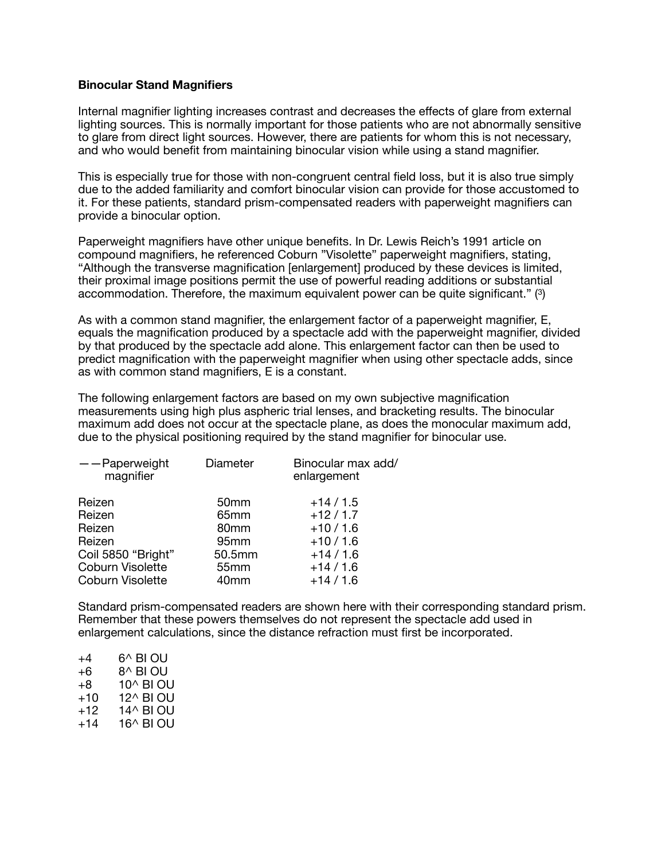#### **Binocular Stand Magnifiers**

Internal magnifier lighting increases contrast and decreases the effects of glare from external lighting sources. This is normally important for those patients who are not abnormally sensitive to glare from direct light sources. However, there are patients for whom this is not necessary, and who would benefit from maintaining binocular vision while using a stand magnifier.

This is especially true for those with non-congruent central field loss, but it is also true simply due to the added familiarity and comfort binocular vision can provide for those accustomed to it. For these patients, standard prism-compensated readers with paperweight magnifiers can provide a binocular option.

Paperweight magnifiers have other unique benefits. In Dr. Lewis Reich's 1991 article on compound magnifiers, he referenced Coburn "Visolette" paperweight magnifiers, stating, "Although the transverse magnification [enlargement] produced by these devices is limited, their proximal image positions permit the use of powerful reading additions or substantial accommodation. Therefore, the maximum equivalent power can be quite significant." (3)

As with a common stand magnifier, the enlargement factor of a paperweight magnifier, E, equals the magnification produced by a spectacle add with the paperweight magnifier, divided by that produced by the spectacle add alone. This enlargement factor can then be used to predict magnification with the paperweight magnifier when using other spectacle adds, since as with common stand magnifiers, E is a constant.

The following enlargement factors are based on my own subjective magnification measurements using high plus aspheric trial lenses, and bracketing results. The binocular maximum add does not occur at the spectacle plane, as does the monocular maximum add, due to the physical positioning required by the stand magnifier for binocular use.

| $-$ -Paperweight<br>magnifier | Diameter         | Binocular max add/<br>enlargement |
|-------------------------------|------------------|-----------------------------------|
| Reizen                        | 50 <sub>mm</sub> | $+14/1.5$                         |
| Reizen                        | 65 <sub>mm</sub> | $+12/1.7$                         |
| Reizen                        | 80 <sub>mm</sub> | $+10/1.6$                         |
| Reizen                        | 95 <sub>mm</sub> | $+10/1.6$                         |
| Coil 5850 "Bright"            | 50.5mm           | $+14/1.6$                         |
| Coburn Visolette              | 55 <sub>mm</sub> | $+14/1.6$                         |
| <b>Coburn Visolette</b>       | 40 <sub>mm</sub> | $+14/1.6$                         |
|                               |                  |                                   |

Standard prism-compensated readers are shown here with their corresponding standard prism. Remember that these powers themselves do not represent the spectacle add used in enlargement calculations, since the distance refraction must first be incorporated.

| +4    | 6^ BI OU  |
|-------|-----------|
| +6    | 8^ BI OU  |
| +8    | 10^ BI OU |
| +10   | 12^ BI OU |
| +12   | 14^ BI OU |
| $+14$ | 16^ BI OU |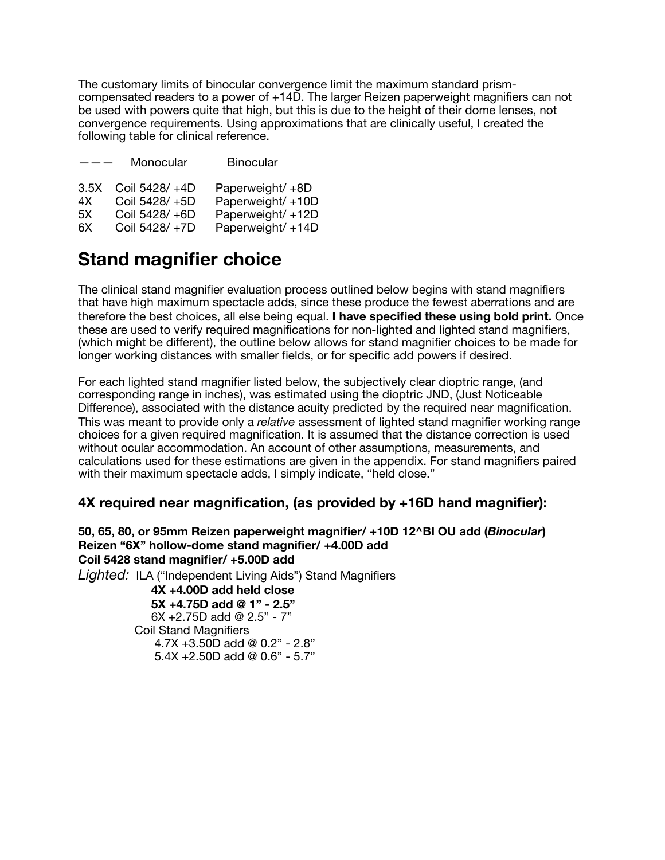The customary limits of binocular convergence limit the maximum standard prismcompensated readers to a power of +14D. The larger Reizen paperweight magnifiers can not be used with powers quite that high, but this is due to the height of their dome lenses, not convergence requirements. Using approximations that are clinically useful, I created the following table for clinical reference.

| $- - -$ | Monocular      | <b>Binocular</b> |
|---------|----------------|------------------|
| 3.5X    | Coil 5428/ +4D | Paperweight/+8D  |
| 4X      | Coil 5428/+5D  | Paperweight/+10D |
| 5X      | Coil 5428/+6D  | Paperweight/+12D |
| 6X      | Coil 5428/+7D  | Paperweight/+14D |

# **Stand magnifier choice**

The clinical stand magnifier evaluation process outlined below begins with stand magnifiers that have high maximum spectacle adds, since these produce the fewest aberrations and are therefore the best choices, all else being equal. **I have specified these using bold print.** Once these are used to verify required magnifications for non-lighted and lighted stand magnifiers, (which might be different), the outline below allows for stand magnifier choices to be made for longer working distances with smaller fields, or for specific add powers if desired.

For each lighted stand magnifier listed below, the subjectively clear dioptric range, (and corresponding range in inches), was estimated using the dioptric JND, (Just Noticeable Difference), associated with the distance acuity predicted by the required near magnification. This was meant to provide only a *relative* assessment of lighted stand magnifier working range choices for a given required magnification. It is assumed that the distance correction is used without ocular accommodation. An account of other assumptions, measurements, and calculations used for these estimations are given in the appendix. For stand magnifiers paired with their maximum spectacle adds, I simply indicate, "held close."

# **4X required near magnification, (as provided by +16D hand magnifier):**

## **50, 65, 80, or 95mm Reizen paperweight magnifier/ +10D 12^BI OU add (***Binocular***) Reizen "6X" hollow-dome stand magnifier/ +4.00D add Coil 5428 stand magnifier/ +5.00D add**

*Lighted:* ILA ("Independent Living Aids") Stand Magnifiers

 **4X +4.00D add held close 5X +4.75D add @ 1" - 2.5"**  6X +2.75D add @ 2.5" - 7" Coil Stand Magnifiers 4.7X +3.50D add @ 0.2" - 2.8" 5.4X +2.50D add @ 0.6" - 5.7"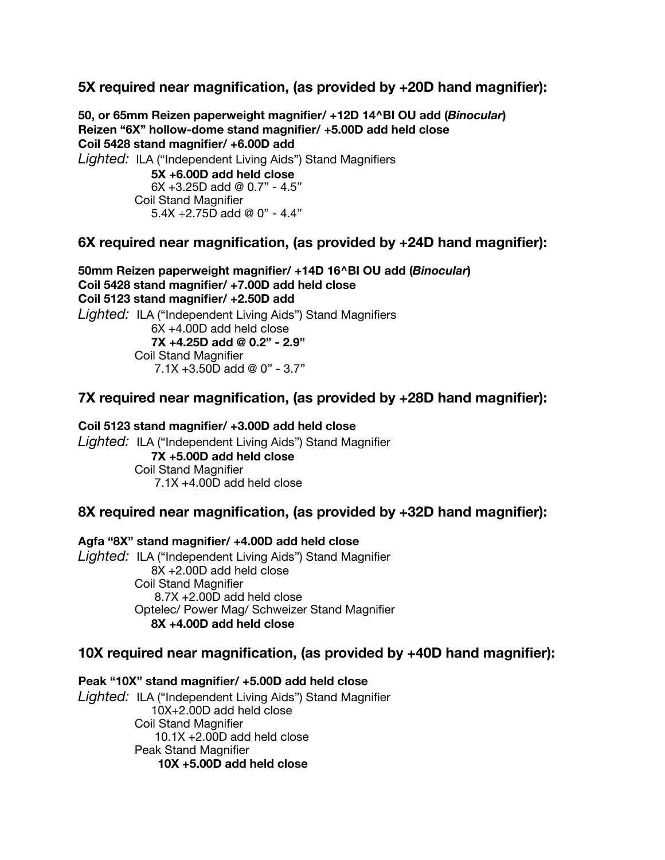**5X required near magnification, (as provided by +20D hand magnifier):** 

**50, or 65mm Reizen paperweight magnifier/ +12D 14^BI OU add (***Binocular***) Reizen "6X" hollow-dome stand magnifier/ +5.00D add held close Coil 5428 stand magnifier/ +6.00D add**  *Lighted:* ILA ("Independent Living Aids") Stand Magnifiers **5X +6.00D add held close**  $6X + 3.25D$  add @ 0.7" - 4.5" Coil Stand Magnifier 5.4X +2.75D add @ 0" - 4.4"

# **6X required near magnification, (as provided by +24D hand magnifier):**

**50mm Reizen paperweight magnifier/ +14D 16^BI OU add (***Binocular***) Coil 5428 stand magnifier/ +7.00D add held close Coil 5123 stand magnifier/ +2.50D add**  *Lighted:* ILA ("Independent Living Aids") Stand Magnifiers 6X +4.00D add held close **7X +4.25D add @ 0.2" - 2.9"** Coil Stand Magnifier 7.1X +3.50D add @ 0" - 3.7"

# **7X required near magnification, (as provided by +28D hand magnifier):**

**Coil 5123 stand magnifier/ +3.00D add held close**  *Lighted:* ILA ("Independent Living Aids") Stand Magnifier **7X +5.00D add held close** Coil Stand Magnifier 7.1X +4.00D add held close

# **8X required near magnification, (as provided by +32D hand magnifier):**

**Agfa "8X" stand magnifier/ +4.00D add held close**  *Lighted:* ILA ("Independent Living Aids") Stand Magnifier 8X +2.00D add held close Coil Stand Magnifier 8.7X +2.00D add held close Optelec/ Power Mag/ Schweizer Stand Magnifier **8X +4.00D add held close** 

# **10X required near magnification, (as provided by +40D hand magnifier):**

**Peak "10X" stand magnifier/ +5.00D add held close**  *Lighted:* ILA ("Independent Living Aids") Stand Magnifier 10X+2.00D add held close Coil Stand Magnifier 10.1X +2.00D add held close Peak Stand Magnifier **10X +5.00D add held close**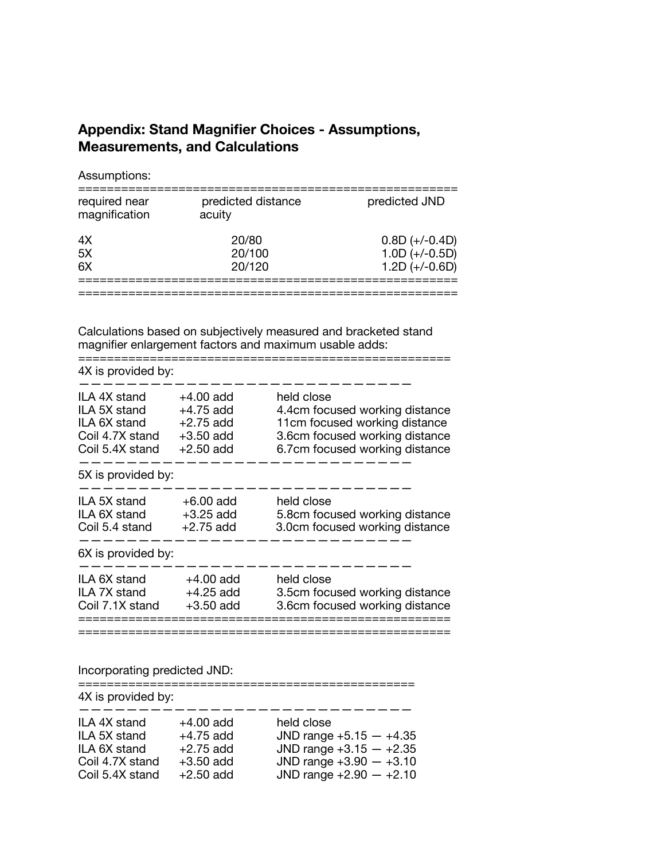# **Appendix: Stand Magnifier Choices - Assumptions, Measurements, and Calculations**

Assumptions:

| required near<br>magnification | predicted distance<br>acuity | predicted JND                                            |
|--------------------------------|------------------------------|----------------------------------------------------------|
| 4X<br>5X<br>6X                 | 20/80<br>20/100<br>20/120    | $0.8D (+/-0.4D)$<br>$1.0D (+/-0.5D)$<br>$1.2D (+/-0.6D)$ |
|                                |                              |                                                          |

Calculations based on subjectively measured and bracketed stand magnifier enlargement factors and maximum usable adds:

| 4X is provided by:                                                                 |                                                                         |                                                                                                                                                   |
|------------------------------------------------------------------------------------|-------------------------------------------------------------------------|---------------------------------------------------------------------------------------------------------------------------------------------------|
| ILA 4X stand<br>ILA 5X stand<br>ILA 6X stand<br>Coil 4.7X stand<br>Coil 5.4X stand | $+4.00$ add<br>$+4.75$ add<br>$+2.75$ add<br>$+3.50$ add<br>$+2.50$ add | held close<br>4.4cm focused working distance<br>11cm focused working distance<br>3.6cm focused working distance<br>6.7cm focused working distance |
| 5X is provided by:                                                                 |                                                                         |                                                                                                                                                   |
| ILA 5X stand<br>ILA 6X stand<br>Coil 5.4 stand                                     | $+6.00$ add<br>$+3.25$ add<br>$+2.75$ add                               | held close<br>5.8cm focused working distance<br>3.0cm focused working distance                                                                    |
| 6X is provided by:                                                                 |                                                                         |                                                                                                                                                   |
| ILA 6X stand<br>ILA 7X stand<br>Coil 7.1X stand                                    | $+4.00$ add<br>$+4.25$ add<br>$+3.50$ add                               | held close<br>3.5cm focused working distance<br>3.6cm focused working distance                                                                    |
|                                                                                    |                                                                         |                                                                                                                                                   |

# Incorporating predicted JND:

| 4X is provided by: |             |                           |
|--------------------|-------------|---------------------------|
| ILA 4X stand       | $+4.00$ add | held close                |
| ILA 5X stand       | $+4.75$ add | JND range $+5.15 - +4.35$ |
| ILA 6X stand       | $+2.75$ add | JND range $+3.15 - +2.35$ |
| Coil 4.7X stand    | $+3.50$ add | JND range $+3.90 - +3.10$ |
| Coil 5.4X stand    | $+2.50$ add | JND range $+2.90 - +2.10$ |